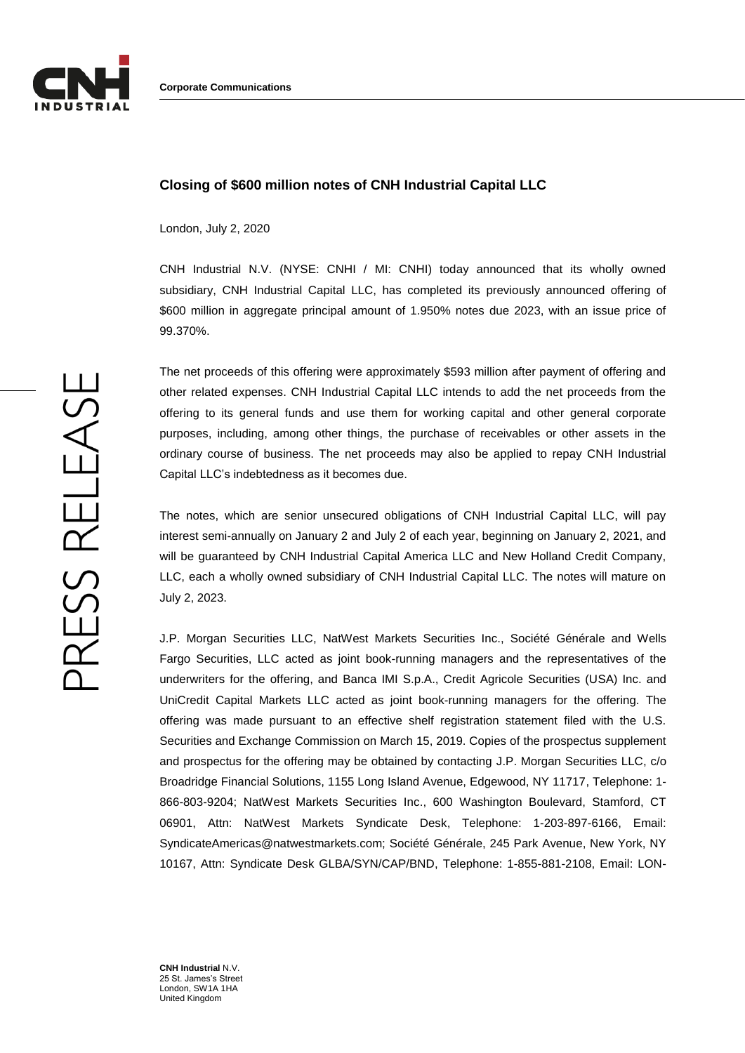

## **Closing of \$600 million notes of CNH Industrial Capital LLC**

London, July 2, 2020

CNH Industrial N.V. (NYSE: CNHI / MI: CNHI) today announced that its wholly owned subsidiary, CNH Industrial Capital LLC, has completed its previously announced offering of \$600 million in aggregate principal amount of 1.950% notes due 2023, with an issue price of 99.370%.

The net proceeds of this offering were approximately \$593 million after payment of offering and other related expenses. CNH Industrial Capital LLC intends to add the net proceeds from the offering to its general funds and use them for working capital and other general corporate purposes, including, among other things, the purchase of receivables or other assets in the ordinary course of business. The net proceeds may also be applied to repay CNH Industrial Capital LLC's indebtedness as it becomes due.

The notes, which are senior unsecured obligations of CNH Industrial Capital LLC, will pay interest semi-annually on January 2 and July 2 of each year, beginning on January 2, 2021, and will be guaranteed by CNH Industrial Capital America LLC and New Holland Credit Company, LLC, each a wholly owned subsidiary of CNH Industrial Capital LLC. The notes will mature on July 2, 2023.

J.P. Morgan Securities LLC, NatWest Markets Securities Inc., Société Générale and Wells Fargo Securities, LLC acted as joint book-running managers and the representatives of the underwriters for the offering, and Banca IMI S.p.A., Credit Agricole Securities (USA) Inc. and UniCredit Capital Markets LLC acted as joint book-running managers for the offering. The offering was made pursuant to an effective shelf registration statement filed with the U.S. Securities and Exchange Commission on March 15, 2019. Copies of the prospectus supplement and prospectus for the offering may be obtained by contacting J.P. Morgan Securities LLC, c/o Broadridge Financial Solutions, 1155 Long Island Avenue, Edgewood, NY 11717, Telephone: 1- 866-803-9204; NatWest Markets Securities Inc., 600 Washington Boulevard, Stamford, CT 06901, Attn: NatWest Markets Syndicate Desk, Telephone: 1-203-897-6166, Email: SyndicateAmericas@natwestmarkets.com; Société Générale, 245 Park Avenue, New York, NY 10167, Attn: Syndicate Desk GLBA/SYN/CAP/BND, Telephone: 1-855-881-2108, Email: LON-